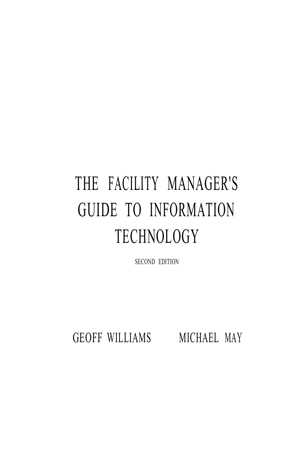## THE FACILITY MANAGER'S GUIDE TO INFORMATION TECHNOLOGY

SECOND EDITION

GEOFF WILLIAMS MICHAEL MAY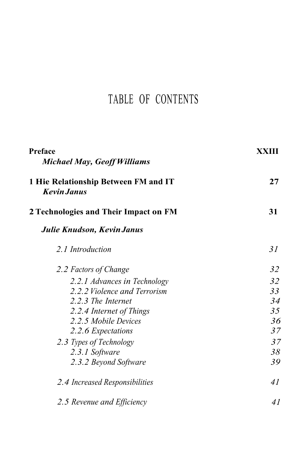## TABLE OF CONTENTS

| Preface<br><b>Michael May, Geoff Williams</b>              | XXIII |
|------------------------------------------------------------|-------|
| 1 Hie Relationship Between FM and IT<br><b>Kevin Janus</b> | 27    |
| 2 Technologies and Their Impact on FM                      | 31    |
| Julie Knudson, Kevin Janus                                 |       |
| 2.1 Introduction                                           | 31    |
| 2.2 Factors of Change                                      | 32    |
| 2.2.1 Advances in Technology                               | 32    |
| 2.2.2 Violence and Terrorism                               | 33    |
| 2.2.3 The Internet                                         | 34    |
| 2.2.4 Internet of Things                                   | 35    |
| 2.2.5 Mobile Devices                                       | 36    |
| 2.2.6 Expectations                                         | 37    |
| 2.3 Types of Technology                                    | 37    |
| 2.3.1 Software                                             | 38    |
| 2.3.2 Beyond Software                                      | 39    |
| 2.4 Increased Responsibilities                             | 41    |
| 2.5 Revenue and Efficiency                                 | 41    |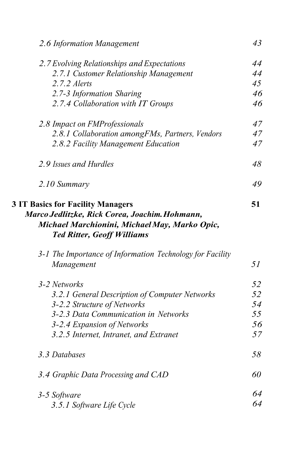| 2.6 Information Management                                                                                                                                                                        | 43 |
|---------------------------------------------------------------------------------------------------------------------------------------------------------------------------------------------------|----|
| 2.7 Evolving Relationships and Expectations                                                                                                                                                       | 44 |
| 2.7.1 Customer Relationship Management                                                                                                                                                            | 44 |
| 2.7.2 Alerts                                                                                                                                                                                      | 45 |
| 2.7-3 Information Sharing                                                                                                                                                                         | 46 |
| 2.7.4 Collaboration with IT Groups                                                                                                                                                                | 46 |
| 2.8 Impact on FMProfessionals                                                                                                                                                                     | 47 |
| 2.8.1 Collaboration amongFMs, Partners, Vendors                                                                                                                                                   | 47 |
| 2.8.2 Facility Management Education                                                                                                                                                               | 47 |
| 2.9 Issues and Hurdles                                                                                                                                                                            | 48 |
| 2.10 Summary                                                                                                                                                                                      | 49 |
| Marco Jedlitzke, Rick Corea, Joachim. Hohmann,<br>Michael Marchionini, Michael May, Marko Opic,<br><b>Ted Ritter, Geoff Williams</b><br>3-1 The Importance of Information Technology for Facility |    |
| Management                                                                                                                                                                                        | 51 |
| 3-2 Networks                                                                                                                                                                                      | 52 |
| 3.2.1 General Description of Computer Networks                                                                                                                                                    | 52 |
| 3-2.2 Structure of Networks                                                                                                                                                                       | 54 |
| 3-2.3 Data Communication in Networks                                                                                                                                                              | 55 |
| 3-2.4 Expansion of Networks                                                                                                                                                                       | 56 |
| 3.2.5 Internet, Intranet, and Extranet                                                                                                                                                            | 57 |
| 3.3 Databases                                                                                                                                                                                     | 58 |
| 3.4 Graphic Data Processing and CAD                                                                                                                                                               | 60 |
|                                                                                                                                                                                                   |    |
| 3-5 Software                                                                                                                                                                                      | 64 |
| 3.5.1 Software Life Cycle                                                                                                                                                                         | 64 |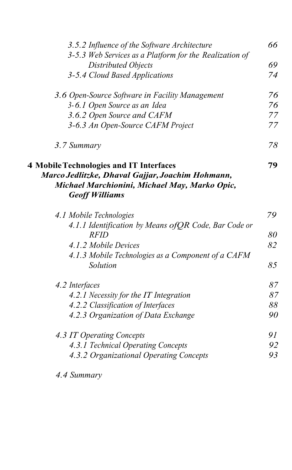| 3.5.2 Influence of the Software Architecture            | 66 |
|---------------------------------------------------------|----|
| 3-5.3 Web Services as a Platform for the Realization of |    |
| Distributed Objects                                     | 69 |
| 3-5.4 Cloud Based Applications                          | 74 |
| 3.6 Open-Source Software in Facility Management         | 76 |
| 3-6.1 Open Source as an Idea                            | 76 |
| 3.6.2 Open Source and CAFM                              | 77 |
| 3-6.3 An Open-Source CAFM Project                       | 77 |
| 3.7 Summary                                             | 78 |
| <b>4 Mobile Technologies and IT Interfaces</b>          | 79 |
| Marco Jedlitzke, Dhaval Gajjar, Joachim Hohmann,        |    |
| Michael Marchionini, Michael May, Marko Opic,           |    |
| <b>Geoff Williams</b>                                   |    |
| 4.1 Mobile Technologies                                 | 79 |
| 4.1.1 Identification by Means of QR Code, Bar Code or   |    |
| <b>RFID</b>                                             | 80 |
| 4.1.2 Mobile Devices                                    | 82 |
| 4.1.3 Mobile Technologies as a Component of a CAFM      |    |
| Solution                                                | 85 |
| 4.2 Interfaces                                          | 87 |
| 4.2.1 Necessity for the IT Integration                  | 87 |
| 4.2.2 Classification of Interfaces                      | 88 |
| 4.2.3 Organization of Data Exchange                     | 90 |
| 4.3 IT Operating Concepts                               | 91 |
| 4.3.1 Technical Operating Concepts                      | 92 |
| 4.3.2 Organizational Operating Concepts                 | 93 |
|                                                         |    |

*4.4 Summary*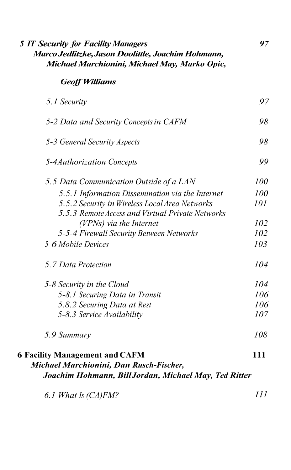| Michael Marchionini, Michael May, Marko Opic,                                                                                             |     |
|-------------------------------------------------------------------------------------------------------------------------------------------|-----|
| <b>Geoff Williams</b>                                                                                                                     |     |
| 5.1 Security                                                                                                                              | 97  |
| 5-2 Data and Security Concepts in CAFM                                                                                                    | 98  |
| 5-3 General Security Aspects                                                                                                              | 98  |
| 5-4Authorization Concepts                                                                                                                 | 99  |
| 5.5 Data Communication Outside of a LAN                                                                                                   | 100 |
| 5.5.1 Information Dissemination via the Internet                                                                                          | 100 |
| 5.5.2 Security in Wireless Local Area Networks                                                                                            | 101 |
| 5.5.3 Remote Access and Virtual Private Networks                                                                                          |     |
| (VPNs) via the Internet                                                                                                                   | 102 |
| 5-5-4 Firewall Security Between Networks                                                                                                  | 102 |
| 5-6 Mobile Devices                                                                                                                        | 103 |
| 5.7 Data Protection                                                                                                                       | 104 |
| 5-8 Security in the Cloud                                                                                                                 | 104 |
| 5-8.1 Securing Data in Transit                                                                                                            | 106 |
| 5.8.2 Securing Data at Rest                                                                                                               | 106 |
| 5-8.3 Service Availability                                                                                                                | 107 |
| 5.9 Summary                                                                                                                               | 108 |
| <b>6 Facility Management and CAFM</b><br>Michael Marchionini, Dan Rusch-Fischer,<br>Joachim Hohmann, Bill Jordan, Michael May, Ted Ritter | 111 |
| 6.1 What Is (CA)FM?                                                                                                                       | III |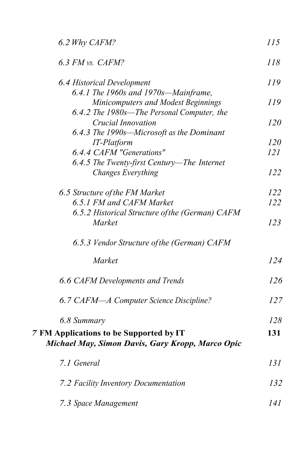| 6.2 Why CAFM?                                                                                      | 115        |
|----------------------------------------------------------------------------------------------------|------------|
| 6.3 FM vs. CAFM?                                                                                   | 118        |
| 6.4 Historical Development<br>6.4.1 The 1960s and 1970s-Mainframe,                                 | 119        |
| Minicomputers and Modest Beginnings<br>6.4.2 The 1980s—The Personal Computer, the                  | 119        |
| <b>Crucial Innovation</b>                                                                          | <i>120</i> |
| 6.4.3 The 1990s-Microsoft as the Dominant                                                          |            |
| IT-Platform<br>6.4.4 CAFM "Generations"                                                            | 120<br>121 |
| 6.4.5 The Twenty-first Century-The Internet                                                        |            |
| <b>Changes Everything</b>                                                                          | 122        |
| 6.5 Structure of the FM Market                                                                     | 122        |
| 6.5.1 FM and CAFM Market                                                                           | 122        |
| 6.5.2 Historical Structure of the (German) CAFM<br>Market                                          | 123        |
| 6.5.3 Vendor Structure of the (German) CAFM                                                        |            |
| Market                                                                                             | 124        |
| 6.6 CAFM Developments and Trends                                                                   | 126        |
| 6.7 CAFM-A Computer Science Discipline?                                                            | 127        |
| 6.8 Summary                                                                                        | 128        |
| <b>7 FM Applications to be Supported by IT</b><br>Michael May, Simon Davis, Gary Kropp, Marco Opic | 131        |
| 7.1 General                                                                                        | 131        |
| 7.2 Facility Inventory Documentation                                                               | 132        |
| 7.3 Space Management                                                                               | 141        |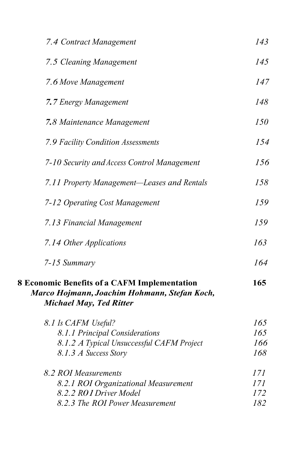| 7.4 Contract Management                                                                                                               | 143                      |
|---------------------------------------------------------------------------------------------------------------------------------------|--------------------------|
| 7.5 Cleaning Management                                                                                                               | 145                      |
| 7.6 Move Management                                                                                                                   | 147                      |
| 7.7 Energy Management                                                                                                                 | 148                      |
| 7.8 Maintenance Management                                                                                                            | 150                      |
| 7.9 Facility Condition Assessments                                                                                                    | 154                      |
| 7-10 Security and Access Control Management                                                                                           | 156                      |
| 7.11 Property Management-Leases and Rentals                                                                                           | 158                      |
| 7-12 Operating Cost Management                                                                                                        | 159                      |
| 7.13 Financial Management                                                                                                             | 159                      |
| 7.14 Other Applications                                                                                                               | 163                      |
| 7-15 Summary                                                                                                                          | 164                      |
| <b>8 Economic Benefits of a CAFM Implementation</b><br>Marco Hojmann, Joachim Hohmann, Stefan Koch,<br><b>Michael May, Ted Ritter</b> | 165                      |
| 8.1 Is CAFM Useful?<br>8.1.1 Principal Considerations<br>8.1.2 A Typical Unsuccessful CAFM Project<br>8.1.3 A Success Story           | 165<br>165<br>166<br>168 |
| 8.2 ROI Measurements<br>8.2.1 ROI Organizational Measurement<br>8.2.2 RO1 Driver Model<br>8.2.3 The ROI Power Measurement             | 171<br>171<br>172<br>182 |
|                                                                                                                                       |                          |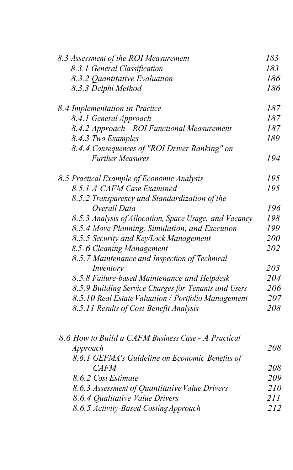| 8.3 Assessment of the ROI Measurement                  | 183        |
|--------------------------------------------------------|------------|
| 8.3.1 General Classification                           | 183        |
| 8.3.2 Quantitative Evaluation                          | 186        |
| 8.3.3 Delphi Method                                    | 186        |
| 8.4 Implementation in Practice                         | 187        |
| 8.4.1 General Approach                                 | 187        |
| 8.4.2 Approach-ROI Functional Measurement              | 187        |
| 8.4.3 Two Examples                                     | 189        |
| 8.4.4 Consequences of "ROI Driver Ranking" on          |            |
| <b>Further Measures</b>                                | 194        |
| 8.5 Practical Example of Economic Analysis             | 195        |
| 8.5.1 A CAFM Case Examined                             | 195        |
| 8.5.2 Transparency and Standardization of the          |            |
| Overall Data                                           | 196        |
| 8.5.3 Analysis of Allocation, Space Usage, and Vacancy | 198        |
| 8.5.4 Move Planning, Simulation, and Execution         | 199        |
| 8.5.5 Security and Key/Lock Management                 | 200        |
| 8.5-6 Cleaning Management                              | 202        |
| 8.5.7 Maintenance and Inspection of Technical          |            |
| Inventory                                              | 203        |
| 8.5.8 Failure-based Maintenance and Helpdesk           | 204        |
| 8.5.9 Building Service Charges for Tenants and Users   | 206        |
| 8.5.10 Real Estate Valuation / Portfolio Management    | 207        |
| 8.5.11 Results of Cost-Benefit Analysis                | 208        |
| 8.6 How to Build a CAFM Business Case - A Practical    |            |
| Approach                                               | 208        |
| 8.6.1 GEFMA's Guideline on Economic Benefits of        |            |
| <b>CAFM</b>                                            | 208        |
| 8.6.2 Cost Estimate                                    | 209        |
| 8.6.3 Assessment of Quantitative Value Drivers         | 210        |
| 8.6.4 Qualitative Value Drivers                        | <i>211</i> |
| 8.6.5 Activity-Based Costing Approach                  | 212        |
|                                                        |            |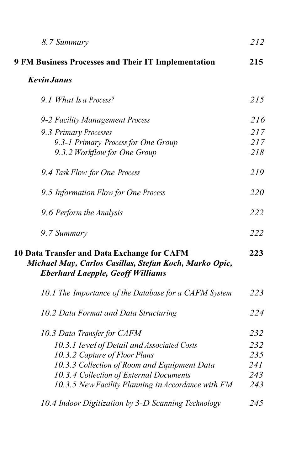| 8.7 Summary                                                                                                                                      | 212 |
|--------------------------------------------------------------------------------------------------------------------------------------------------|-----|
| 9 FM Business Processes and Their IT Implementation                                                                                              | 215 |
| <b>Kevin Janus</b>                                                                                                                               |     |
| 9.1 What Is a Process?                                                                                                                           | 215 |
| 9-2 Facility Management Process                                                                                                                  | 216 |
| 9.3 Primary Processes                                                                                                                            | 217 |
| 9.3-1 Primary Process for One Group                                                                                                              | 217 |
| 9.3.2 Workflow for One Group                                                                                                                     | 218 |
| 9.4 Task Flow for One Process                                                                                                                    | 219 |
| 9.5 Information Flow for One Process                                                                                                             | 220 |
| 9.6 Perform the Analysis                                                                                                                         | 222 |
| 9.7 Summary                                                                                                                                      | 222 |
| 10 Data Transfer and Data Exchange for CAFM<br>Michael May, Carlos Casillas, Stefan Koch, Marko Opic,<br><b>Eberhard Laepple, Geoff Williams</b> | 223 |
| 10.1 The Importance of the Database for a CAFM System                                                                                            | 223 |
| 10.2 Data Format and Data Structuring                                                                                                            | 224 |
| 10.3 Data Transfer for CAFM                                                                                                                      | 232 |
| 10.3.1 level of Detail and Associated Costs                                                                                                      | 232 |
| 10.3.2 Capture of Floor Plans                                                                                                                    | 235 |
| 10.3.3 Collection of Room and Equipment Data                                                                                                     | 241 |
| 10.3.4 Collection of External Documents                                                                                                          | 243 |
| 10.3.5 New Facility Planning in Accordance with FM                                                                                               | 243 |
| 10.4 Indoor Digitization by 3-D Scanning Technology                                                                                              | 245 |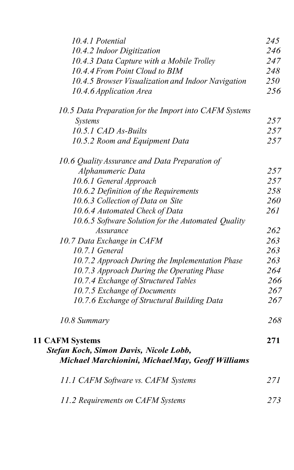| 10.4.1 Potential                                       | 245 |
|--------------------------------------------------------|-----|
| 10.4.2 Indoor Digitization                             | 246 |
| 10.4.3 Data Capture with a Mobile Trolley              | 247 |
| 10.4.4 From Point Cloud to BIM                         | 248 |
| 10.4.5 Browser Visualization and Indoor Navigation     | 250 |
| 10.4.6 Application Area                                | 256 |
| 10.5 Data Preparation for the Import into CAFM Systems |     |
| Systems                                                | 257 |
| 10.5.1 CAD As-Builts                                   | 257 |
| 10.5.2 Room and Equipment Data                         | 257 |
| 10.6 Quality Assurance and Data Preparation of         |     |
| Alphanumeric Data                                      | 257 |
| 10.6.1 General Approach                                | 257 |
| 10.6.2 Definition of the Requirements                  | 258 |
| 10.6.3 Collection of Data on Site                      | 260 |
| 10.6.4 Automated Check of Data                         | 261 |
| 10.6.5 Software Solution for the Automated Quality     |     |
| Assurance                                              | 262 |
| 10.7 Data Exchange in CAFM                             | 263 |
| 10.7.1 General                                         | 263 |
| 10.7.2 Approach During the Implementation Phase        | 263 |
| 10.7.3 Approach During the Operating Phase             | 264 |
| 10.7.4 Exchange of Structured Tables                   | 266 |
| 10.7.5 Exchange of Documents                           | 267 |
| 10.7.6 Exchange of Structural Building Data            | 267 |
| 10.8 Summary                                           | 268 |
| <b>11 CAFM Systems</b>                                 | 271 |
| Stefan Koch, Simon Davis, Nicole Lobb,                 |     |
| Michael Marchionini, MichaelMay, Geoff Williams        |     |
| 11.1 CAFM Software vs. CAFM Systems                    | 271 |
| 11.2 Requirements on CAFM Systems                      | 273 |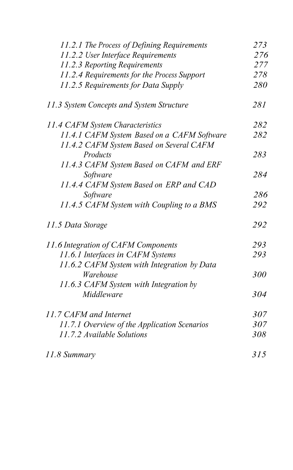| 11.2.2 User Interface Requirements           | 276 |
|----------------------------------------------|-----|
|                                              |     |
| 11.2.3 Reporting Requirements                | 277 |
| 11.2.4 Requirements for the Process Support  | 278 |
| 11.2.5 Requirements for Data Supply          | 280 |
| 11.3 System Concepts and System Structure    | 281 |
| 11.4 CAFM System Characteristics             | 282 |
| 11.4.1 CAFM System Based on a CAFM Software  | 282 |
| 11.4.2 CAFM System Based on Several CAFM     |     |
| Products                                     | 283 |
| 11.4.3 CAFM System Based on CAFM and ERF     |     |
| Software                                     | 284 |
| 11.4.4 CAFM System Based on ERP and CAD      |     |
| Software                                     | 286 |
| 11.4.5 CAFM System with Coupling to a BMS    | 292 |
| 11.5 Data Storage                            | 292 |
| 11.6 Integration of CAFM Components          | 293 |
| 11.6.1 Interfaces in CAFM Systems            | 293 |
| 11.6.2 CAFM System with Integration by Data  |     |
| Warehouse                                    | 300 |
| 11.6.3 CAFM System with Integration by       |     |
| Middleware                                   | 304 |
| 11.7 CAFM and Internet                       | 307 |
| 11.7.1 Overview of the Application Scenarios | 307 |
| 11.7.2 Available Solutions                   | 308 |
| 11.8 Summary                                 | 315 |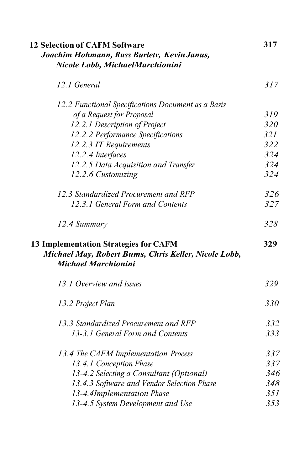| <b>12 Selection of CAFM Software</b>                                                                                               | 317 |
|------------------------------------------------------------------------------------------------------------------------------------|-----|
| Joachim Hohmann, Russ Burletv, Kevin Janus,                                                                                        |     |
| Nicole Lobb, MichaelMarchionini                                                                                                    |     |
| 12.1 General                                                                                                                       | 317 |
| 12.2 Functional Specifications Document as a Basis                                                                                 |     |
| of a Request for Proposal                                                                                                          | 319 |
| 12.2.1 Description of Project                                                                                                      | 320 |
| 12.2.2 Performance Specifications                                                                                                  | 321 |
| 12.2.3 IT Requirements                                                                                                             | 322 |
| 12.2.4 Interfaces                                                                                                                  | 324 |
| 12.2.5 Data Acquisition and Transfer                                                                                               | 324 |
| 12.2.6 Customizing                                                                                                                 | 324 |
| 12.3 Standardized Procurement and RFP                                                                                              | 326 |
| 12.3.1 General Form and Contents                                                                                                   | 327 |
| 12.4 Summary                                                                                                                       | 328 |
| <b>13 Implementation Strategies for CAFM</b><br>Michael May, Robert Bums, Chris Keller, Nicole Lobb,<br><b>Michael Marchionini</b> | 329 |
| 13.1 Overview and Issues                                                                                                           | 329 |
| 13.2 Project Plan                                                                                                                  | 330 |
| 13.3 Standardized Procurement and RFP                                                                                              | 332 |
| 13-3.1 General Form and Contents                                                                                                   | 333 |
| 13.4 The CAFM Implementation Process                                                                                               | 337 |
| 13.4.1 Conception Phase                                                                                                            | 337 |
| 13-4.2 Selecting a Consultant (Optional)                                                                                           | 346 |
| 13.4.3 Software and Vendor Selection Phase                                                                                         | 348 |
| 13-4.4Implementation Phase                                                                                                         | 351 |
| 13-4.5 System Development and Use                                                                                                  | 353 |
|                                                                                                                                    |     |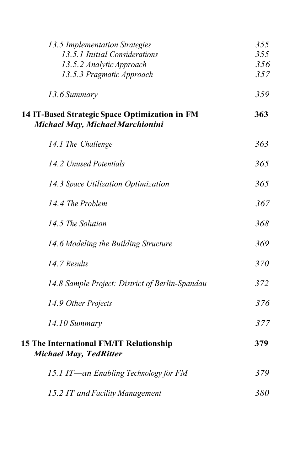| 13.5 Implementation Strategies<br>13.5.1 Initial Considerations                    | 355<br>355<br>356 |
|------------------------------------------------------------------------------------|-------------------|
| 13.5.2 Analytic Approach<br>13.5.3 Pragmatic Approach                              | 357               |
| 13.6 Summary                                                                       | 359               |
| 14 IT-Based Strategic Space Optimization in FM<br>Michael May, Michael Marchionini | 363               |
| 14.1 The Challenge                                                                 | 363               |
| 14.2 Unused Potentials                                                             | 365               |
| 14.3 Space Utilization Optimization                                                | 365               |
| 14.4 The Problem                                                                   | 367               |
| 14.5 The Solution                                                                  | 368               |
| 14.6 Modeling the Building Structure                                               | 369               |
| 14.7 Results                                                                       | 370               |
| 14.8 Sample Project: District of Berlin-Spandau                                    | 372               |
| 14.9 Other Projects                                                                | 376               |
| 14.10 Summary                                                                      | 377               |
| 15 The International FM/IT Relationship<br><b>Michael May, TedRitter</b>           | 379               |
| 15.1 IT-an Enabling Technology for FM                                              | 379               |
| 15.2 IT and Facility Management                                                    | 380               |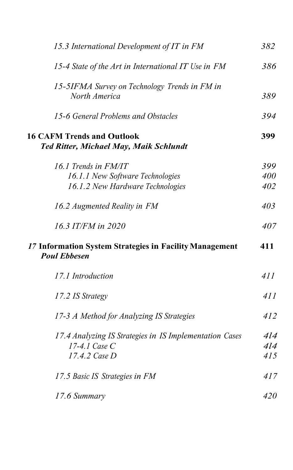| 15.3 International Development of IT in FM                                         | 382 |
|------------------------------------------------------------------------------------|-----|
| 15-4 State of the Art in International IT Use in FM                                | 386 |
| 15-5IFMA Survey on Technology Trends in FM in<br>North America                     | 389 |
| 15-6 General Problems and Obstacles                                                | 394 |
| <b>16 CAFM Trends and Outlook</b><br><b>Ted Ritter, Michael May, Maik Schlundt</b> | 399 |
| 16.1 Trends in FM/IT                                                               | 399 |
| 16.1.1 New Software Technologies                                                   | 400 |
| 16.1.2 New Hardware Technologies                                                   | 402 |
| 16.2 Augmented Reality in FM                                                       | 403 |
|                                                                                    |     |
| 16.3 IT/FM in 2020                                                                 | 407 |
| 17 Information System Strategies in Facility Management<br><b>Poul Ebbesen</b>     | 411 |
| 17.1 Introduction                                                                  | 411 |
| 17.2 IS Strategy                                                                   | 411 |
| 17-3 A Method for Analyzing IS Strategies                                          | 412 |
| 17.4 Analyzing IS Strategies in IS Implementation Cases                            | 4l4 |
| $17-4.1$ Case C                                                                    | 4l4 |
| 17.4.2 Case D                                                                      | 415 |
| 17.5 Basic IS Strategies in FM                                                     | 417 |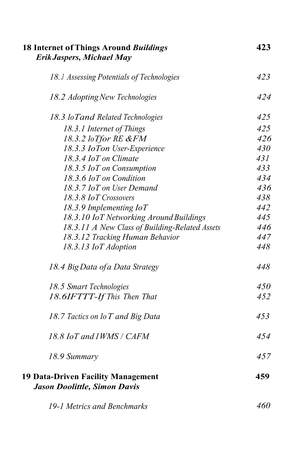| <b>18 Internet of Things Around Buildings</b>                                    | 423 |
|----------------------------------------------------------------------------------|-----|
| <b>Erik Jaspers, Michael May</b>                                                 |     |
| 18. J Assessing Potentials of Technologies                                       | 423 |
| 18.2 Adopting New Technologies                                                   | 424 |
| 18.3 IoTand Related Technologies                                                 | 425 |
| 18.3.1 Internet of Things                                                        | 425 |
| 18.3.2 IoTfor RE &FM                                                             | 426 |
| 18.3.3 IoTon User-Experience                                                     | 430 |
| 18.3.4 IoT on Climate                                                            | 431 |
| 18.3.5 IoT on Consumption                                                        | 433 |
| 18.3.6 IoT on Condition                                                          | 434 |
| 18.3.7 IoT on User Demand                                                        | 436 |
| 18.3.8 IoT Crossovers                                                            | 438 |
| 18.3.9 Implementing $I \circ T$                                                  | 442 |
| 18.3.10 IoT Networking Around Buildings                                          | 445 |
| 18.3.11 A New Class of Building-Related Assets                                   | 446 |
| 18.3.12 Tracking Human Behavior                                                  | 447 |
| 18.3.13 IoT Adoption                                                             | 448 |
| 18.4 Big Data of a Data Strategy                                                 | 448 |
| 18.5 Smart Technologies                                                          | 450 |
| 18.6IFTTT-If This Then That                                                      | 452 |
| 18.7 Tactics on Io T and Big Data                                                | 453 |
| 18.8 IoT and 1WMS / CAFM                                                         | 454 |
| 18.9 Summary                                                                     | 457 |
| <b>19 Data-Driven Facility Management</b><br><b>Jason Doolittle, Simon Davis</b> | 459 |
| 19-1 Metrics and Benchmarks                                                      | 460 |
|                                                                                  |     |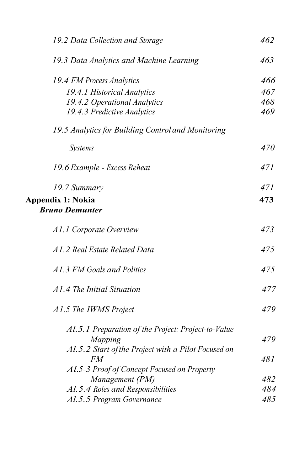| 19.2 Data Collection and Storage                    | 462 |
|-----------------------------------------------------|-----|
| 19.3 Data Analytics and Machine Learning            | 463 |
| 19.4 FM Process Analytics                           | 466 |
| 19.4.1 Historical Analytics                         | 467 |
| 19.4.2 Operational Analytics                        | 468 |
| 19.4.3 Predictive Analytics                         | 469 |
| 19.5 Analytics for Building Control and Monitoring  |     |
| <b>Systems</b>                                      | 470 |
| 19.6 Example - Excess Reheat                        | 471 |
| 19.7 Summary                                        | 471 |
| <b>Appendix 1: Nokia</b>                            | 473 |
| <b>Bruno Demunter</b>                               |     |
| A1.1 Corporate Overview                             | 473 |
| A1.2 Real Estate Related Data                       | 475 |
| A1.3 FM Goals and Politics                          | 475 |
| A1.4 The Initial Situation                          | 477 |
| A1.5 The IWMS Project                               | 479 |
| Al.5.1 Preparation of the Project: Project-to-Value |     |
| Mapping                                             | 479 |
| Al.5.2 Start of the Project with a Pilot Focused on |     |
| FM                                                  | 481 |
| Al.5-3 Proof of Concept Focused on Property         |     |
| Management (PM)                                     | 482 |
| Al.5.4 Roles and Responsibilities                   | 484 |
| Al.5.5 Program Governance                           | 485 |
|                                                     |     |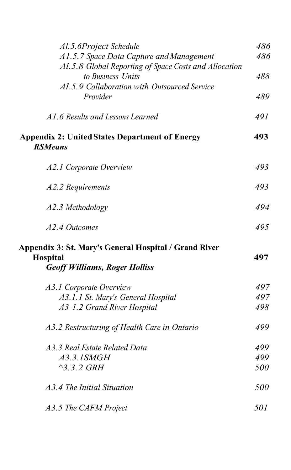| Al.5.6Project Schedule                                                  | 486 |
|-------------------------------------------------------------------------|-----|
| A1.5.7 Space Data Capture and Management                                | 486 |
| Al.5.8 Global Reporting of Space Costs and Allocation                   |     |
| to Business Units                                                       | 488 |
| Al.5.9 Collaboration with Outsourced Service                            |     |
| Provider                                                                | 489 |
| A1.6 Results and Lessons Learned                                        | 491 |
| <b>Appendix 2: United States Department of Energy</b><br><b>RSMeans</b> | 493 |
| A2.1 Corporate Overview                                                 | 493 |
| A2.2 Requirements                                                       | 493 |
| A2.3 Methodology                                                        | 494 |
| A2.4 Outcomes                                                           | 495 |
| Appendix 3: St. Mary's General Hospital / Grand River                   |     |
| Hospital                                                                | 497 |
| <b>Geoff Williams, Roger Holliss</b>                                    |     |
| A3.1 Corporate Overview                                                 | 497 |
| A3.1.1 St. Mary's General Hospital                                      | 497 |
| A3-1.2 Grand River Hospital                                             | 498 |
| A3.2 Restructuring of Health Care in Ontario                            | 499 |
| A3.3 Real Estate Related Data                                           | 499 |
| A3.3.1SMGH                                                              | 499 |
| $^{\wedge}$ 3.3.2 GRH                                                   | 500 |
| A3.4 The Initial Situation                                              | 500 |
| A3.5 The CAFM Project                                                   | 501 |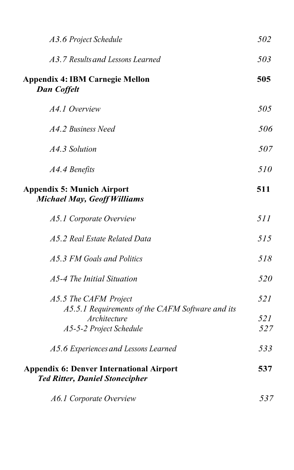| A3.6 Project Schedule                                                                    | 502 |
|------------------------------------------------------------------------------------------|-----|
| A3.7 Results and Lessons Learned                                                         | 503 |
| <b>Appendix 4: IBM Carnegie Mellon</b><br><b>Dan Coffelt</b>                             | 505 |
| A4.1 Overview                                                                            | 505 |
| A4.2 Business Need                                                                       | 506 |
| A4.3 Solution                                                                            | 507 |
| A4.4 Benefits                                                                            | 510 |
| <b>Appendix 5: Munich Airport</b><br><b>Michael May, Geoff Williams</b>                  | 511 |
| A5.1 Corporate Overview                                                                  | 511 |
| A5.2 Real Estate Related Data                                                            | 515 |
| A5.3 FM Goals and Politics                                                               | 518 |
| A5-4 The Initial Situation                                                               | 520 |
| A5.5 The CAFM Project<br>A5.5.1 Requirements of the CAFM Software and its                | 521 |
| Architecture                                                                             | 521 |
| A5-5-2 Project Schedule                                                                  | 527 |
| A5.6 Experiences and Lessons Learned                                                     | 533 |
| <b>Appendix 6: Denver International Airport</b><br><b>Ted Ritter, Daniel Stonecipher</b> | 537 |
| A6.1 Corporate Overview                                                                  | 537 |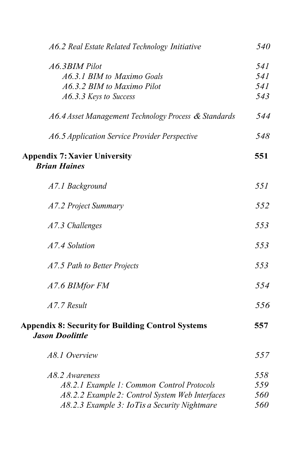| A6.2 Real Estate Related Technology Initiative                                     | 540 |
|------------------------------------------------------------------------------------|-----|
| A6.3BIM Pilot                                                                      | 541 |
| A6.3.1 BIM to Maximo Goals                                                         | 541 |
| A6.3.2 BIM to Maximo Pilot                                                         | 541 |
| A6.3.3 Keys to Success                                                             | 543 |
| A6.4 Asset Management Technology Process & Standards                               | 544 |
| A6.5 Application Service Provider Perspective                                      | 548 |
| <b>Appendix 7: Xavier University</b><br><b>Brian Haines</b>                        | 551 |
| A7.1 Background                                                                    | 55I |
| A7.2 Project Summary                                                               | 552 |
| A7.3 Challenges                                                                    | 553 |
| A7.4 Solution                                                                      | 553 |
| A7.5 Path to Better Projects                                                       | 553 |
| A7.6 BIMfor FM                                                                     | 554 |
| A7.7 Result                                                                        | 556 |
| <b>Appendix 8: Security for Building Control Systems</b><br><b>Jason Doolittle</b> | 557 |
| A8.1 Overview                                                                      | 557 |
| A8.2 Awareness                                                                     | 558 |
| A8.2.1 Example 1: Common Control Protocols                                         | 559 |
| A8.2.2 Example 2: Control System Web Interfaces                                    | 560 |
| A8.2.3 Example 3: IoTis a Security Nightmare                                       | 560 |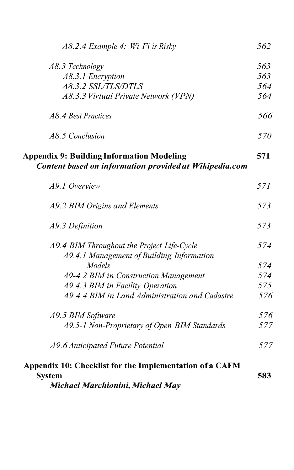| A8.2.4 Example 4: Wi-Fi is Risky                        | 562 |
|---------------------------------------------------------|-----|
| A8.3 Technology                                         | 563 |
| A8.3.1 Encryption                                       | 563 |
| A8.3.2 SSL/TLS/DTLS                                     | 564 |
| A8.3.3 Virtual Private Network (VPN)                    | 564 |
| A8.4 Best Practices                                     | 566 |
| A8.5 Conclusion                                         | 570 |
| <b>Appendix 9: Building Information Modeling</b>        | 571 |
| Content based on information provided at Wikipedia.com  |     |
| A9.1 Overview                                           | 571 |
| A9.2 BIM Origins and Elements                           | 573 |
| A9.3 Definition                                         | 573 |
| A9.4 BIM Throughout the Project Life-Cycle              | 574 |
| A9.4.1 Management of Building Information               |     |
| Models                                                  | 574 |
| A9-4.2 BIM in Construction Management                   | 574 |
| A9.4.3 BIM in Facility Operation                        | 575 |
| A9.4.4 BIM in Land Administration and Cadastre          | 576 |
| A9.5 BIM Software                                       | 576 |
| A9.5-1 Non-Proprietary of Open BIM Standards            | 577 |
| A9.6 Anticipated Future Potential                       | 577 |
| Appendix 10: Checklist for the Implementation of a CAFM |     |
| <b>System</b>                                           | 583 |
| Michael Marchionini, Michael May                        |     |